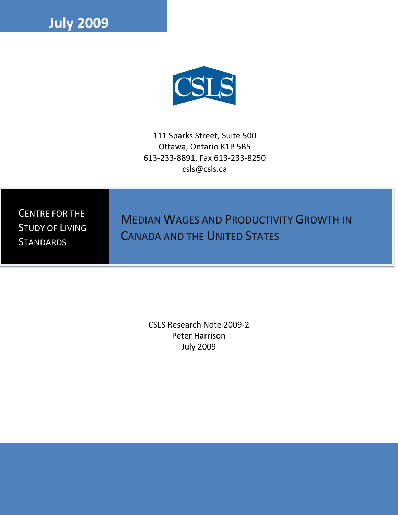



111 Sparks Street, Suite 500 Ottawa, Ontario K1P 5B5 613-233-8891, Fax 613-233-8250 csls@csls.ca

CENTRE FOR THE STUDY OF LIVING **STANDARDS** 

# MEDIAN WAGES AND PRODUCTIVITY GROWTH IN CANADA AND THE UNITED STATES

CSLS Research Note 2009-2 Peter Harrison July 2009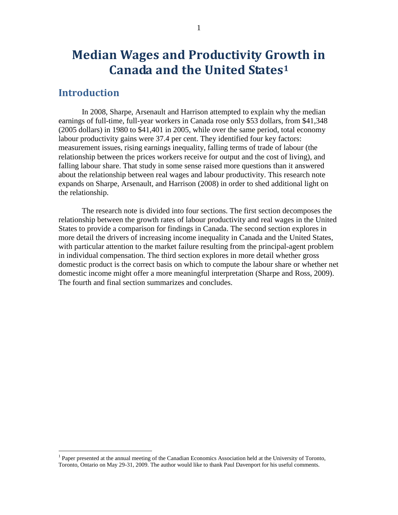# **Median Wages and Productivity Growth in Canada and the United States<sup>1</sup>**

#### **Introduction**

 $\overline{a}$ 

In 2008, Sharpe, Arsenault and Harrison attempted to explain why the median earnings of full-time, full-year workers in Canada rose only \$53 dollars, from \$41,348 (2005 dollars) in 1980 to \$41,401 in 2005, while over the same period, total economy labour productivity gains were 37.4 per cent. They identified four key factors: measurement issues, rising earnings inequality, falling terms of trade of labour (the relationship between the prices workers receive for output and the cost of living), and falling labour share. That study in some sense raised more questions than it answered about the relationship between real wages and labour productivity. This research note expands on Sharpe, Arsenault, and Harrison (2008) in order to shed additional light on the relationship.

The research note is divided into four sections. The first section decomposes the relationship between the growth rates of labour productivity and real wages in the United States to provide a comparison for findings in Canada. The second section explores in more detail the drivers of increasing income inequality in Canada and the United States, with particular attention to the market failure resulting from the principal-agent problem in individual compensation. The third section explores in more detail whether gross domestic product is the correct basis on which to compute the labour share or whether net domestic income might offer a more meaningful interpretation (Sharpe and Ross, 2009). The fourth and final section summarizes and concludes.

<sup>&</sup>lt;sup>1</sup> Paper presented at the annual meeting of the Canadian Economics Association held at the University of Toronto, Toronto, Ontario on May 29-31, 2009. The author would like to thank Paul Davenport for his useful comments.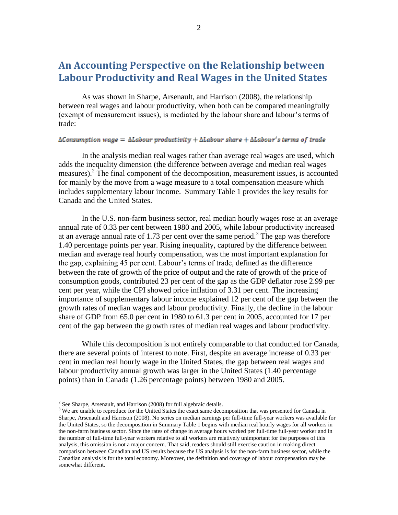## **An Accounting Perspective on the Relationship between Labour Productivity and Real Wages in the United States**

As was shown in Sharpe, Arsenault, and Harrison (2008), the relationship between real wages and labour productivity, when both can be compared meaningfully (exempt of measurement issues), is mediated by the labour share and labour's terms of trade:

#### $\Delta$ Consumption wage =  $\Delta$ Labour productivity +  $\Delta$ Labour share +  $\Delta$ Labour's terms of trade

In the analysis median real wages rather than average real wages are used, which adds the inequality dimension (the difference between average and median real wages measures).<sup>2</sup> The final component of the decomposition, measurement issues, is accounted for mainly by the move from a wage measure to a total compensation measure which includes supplementary labour income. [Summary Table 1](#page-3-0) provides the key results for Canada and the United States.

In the U.S. non-farm business sector, real median hourly wages rose at an average annual rate of 0.33 per cent between 1980 and 2005, while labour productivity increased at an average annual rate of 1.73 per cent over the same period.<sup>3</sup> The gap was therefore 1.40 percentage points per year. Rising inequality, captured by the difference between median and average real hourly compensation, was the most important explanation for the gap, explaining 45 per cent. Labour's terms of trade, defined as the difference between the rate of growth of the price of output and the rate of growth of the price of consumption goods, contributed 23 per cent of the gap as the GDP deflator rose 2.99 per cent per year, while the CPI showed price inflation of 3.31 per cent. The increasing importance of supplementary labour income explained 12 per cent of the gap between the growth rates of median wages and labour productivity. Finally, the decline in the labour share of GDP from 65.0 per cent in 1980 to 61.3 per cent in 2005, accounted for 17 per cent of the gap between the growth rates of median real wages and labour productivity.

While this decomposition is not entirely comparable to that conducted for Canada, there are several points of interest to note. First, despite an average increase of 0.33 per cent in median real hourly wage in the United States, the gap between real wages and labour productivity annual growth was larger in the United States (1.40 percentage points) than in Canada (1.26 percentage points) between 1980 and 2005.

 $2^2$  See Sharpe, Arsenault, and Harrison (2008) for full algebraic details.

<sup>&</sup>lt;sup>3</sup> We are unable to reproduce for the United States the exact same decomposition that was presented for Canada in Sharpe, Arsenault and Harrison (2008). No series on median earnings per full-time full-year workers was available for the United States, so the decomposition in [Summary Table 1](#page-3-0) begins with median real hourly wages for all workers in the non-farm business sector. Since the rates of change in average hours worked per full-time full-year worker and in the number of full-time full-year workers relative to all workers are relatively unimportant for the purposes of this analysis, this omission is not a major concern. That said, readers should still exercise caution in making direct comparison between Canadian and US results because the US analysis is for the non-farm business sector, while the Canadian analysis is for the total economy. Moreover, the definition and coverage of labour compensation may be somewhat different.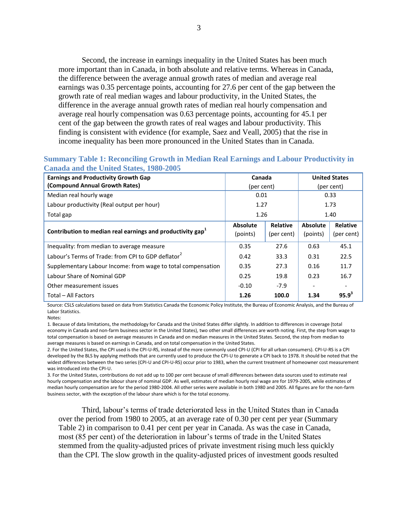Second, the increase in earnings inequality in the United States has been much more important than in Canada, in both absolute and relative terms. Whereas in Canada, the difference between the average annual growth rates of median and average real earnings was 0.35 percentage points, accounting for 27.6 per cent of the gap between the growth rate of real median wages and labour productivity, in the United States, the difference in the average annual growth rates of median real hourly compensation and average real hourly compensation was 0.63 percentage points, accounting for 45.1 per cent of the gap between the growth rates of real wages and labour productivity. This finding is consistent with evidence (for example, Saez and Veall, 2005) that the rise in income inequality has been more pronounced in the United States than in Canada.

| Canada and the United States, 1980-2005                              |                             |                               |                             |                               |
|----------------------------------------------------------------------|-----------------------------|-------------------------------|-----------------------------|-------------------------------|
| <b>Earnings and Productivity Growth Gap</b>                          | Canada                      |                               | <b>United States</b>        |                               |
| (Compound Annual Growth Rates)                                       | (per cent)                  |                               | (per cent)                  |                               |
| Median real hourly wage                                              | 0.01                        |                               | 0.33                        |                               |
| Labour productivity (Real output per hour)                           | 1.27                        |                               | 1.73                        |                               |
| Total gap                                                            | 1.26                        |                               | 1.40                        |                               |
| Contribution to median real earnings and productivity $\text{gap}^1$ | <b>Absolute</b><br>(points) | <b>Relative</b><br>(per cent) | <b>Absolute</b><br>(points) | <b>Relative</b><br>(per cent) |
| Inequality: from median to average measure                           | 0.35                        | 27.6                          | 0.63                        | 45.1                          |
| Labour's Terms of Trade: from CPI to GDP deflator <sup>2</sup>       | 0.42                        | 33.3                          | 0.31                        | 22.5                          |
| Supplementary Labour Income: from wage to total compensation         | 0.35                        | 27.3                          | 0.16                        | 11.7                          |
| Labour Share of Nominal GDP                                          | 0.25                        | 19.8                          | 0.23                        | 16.7                          |
| Other measurement issues                                             | $-0.10$                     | $-7.9$                        |                             |                               |
| Total – All Factors                                                  | 1.26                        | 100.0                         | 1.34                        | $95.9^{3}$                    |

<span id="page-3-0"></span>**Summary Table 1: Reconciling Growth in Median Real Earnings and Labour Productivity in Canada and the United States, 1980-2005**

Source: CSLS calculations based on data from Statistics Canada the Economic Policy Institute, the Bureau of Economic Analysis, and the Bureau of Labor Statistics.

1. Because of data limitations, the methodology for Canada and the United States differ slightly. In addition to differences in coverage (total economy in Canada and non-farm business sector in the United States), two other small differences are worth noting. First, the step from wage to total compensation is based on average measures in Canada and on median measures in the United States. Second, the step from median to average measures is based on earnings in Canada, and on total compensation in the United States.

2. For the United States, the CPI used is the CPI-U-RS, instead of the more commonly used CPI-U (CPI for all urban consumers). CPI-U-RS is a CPI developed by the BLS by applying methods that are currently used to produce the CPI-U to generate a CPI back to 1978. It should be noted that the widest differences between the two series (CPI-U and CPI-U-RS) occur prior to 1983, when the current treatment of homeowner cost measurement was introduced into the CPI-U.

3. For the United States, contributions do not add up to 100 per cent because of small differences between data sources used to estimate real hourly compensation and the labour share of nominal GDP. As well, estimates of median hourly real wage are for 1979-2005, while estimates of median hourly compensation are for the period 1980-2004. All other series were available in both 1980 and 2005. All figures are for the non-farm business sector, with the exception of the labour share which is for the total economy.

Third, labour's terms of trade deteriorated less in the United States than in Canada over the period from 1980 to 2005, at an average rate of 0.30 per cent per year [\(Summary](#page-4-0)  [Table 2\)](#page-4-0) in comparison to 0.41 per cent per year in Canada. As was the case in Canada, most (85 per cent) of the deterioration in labour's terms of trade in the United States stemmed from the quality-adjusted prices of private investment rising much less quickly than the CPI. The slow growth in the quality-adjusted prices of investment goods resulted

Notes: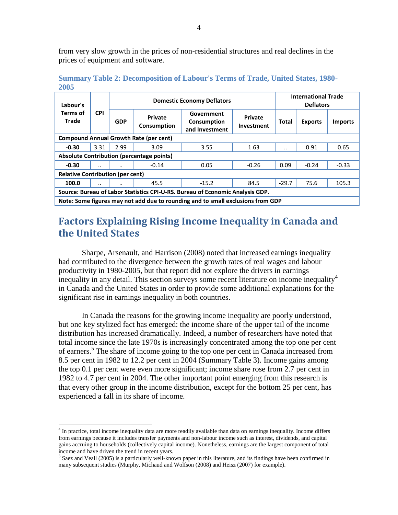from very slow growth in the prices of non-residential structures and real declines in the prices of equipment and software.

| Labour's<br><b>CPI</b><br>Terms of<br><b>Trade</b>                              |           | <b>Domestic Economy Deflators</b> |                        |                                             |                       |              | <b>International Trade</b><br><b>Deflators</b> |                |  |
|---------------------------------------------------------------------------------|-----------|-----------------------------------|------------------------|---------------------------------------------|-----------------------|--------------|------------------------------------------------|----------------|--|
|                                                                                 |           | <b>GDP</b>                        | Private<br>Consumption | Government<br>Consumption<br>and Investment | Private<br>Investment | <b>Total</b> | <b>Exports</b>                                 | <b>Imports</b> |  |
| <b>Compound Annual Growth Rate (per cent)</b>                                   |           |                                   |                        |                                             |                       |              |                                                |                |  |
| $-0.30$                                                                         | 3.31      | 2.99                              | 3.09                   | 3.55                                        | 1.63                  | $\cdot$ .    | 0.91                                           | 0.65           |  |
| <b>Absolute Contribution (percentage points)</b>                                |           |                                   |                        |                                             |                       |              |                                                |                |  |
| $-0.30$                                                                         | $\cdot$ . |                                   | $-0.14$                | 0.05                                        | $-0.26$               | 0.09         | $-0.24$                                        | $-0.33$        |  |
| <b>Relative Contribution (per cent)</b>                                         |           |                                   |                        |                                             |                       |              |                                                |                |  |
| 100.0                                                                           | $\cdot$ . |                                   | 45.5                   | $-15.2$                                     | 84.5                  | $-29.7$      | 75.6                                           | 105.3          |  |
| Source: Bureau of Labor Statistics CPI-U-RS. Bureau of Economic Analysis GDP.   |           |                                   |                        |                                             |                       |              |                                                |                |  |
| Note: Some figures may not add due to rounding and to small exclusions from GDP |           |                                   |                        |                                             |                       |              |                                                |                |  |

<span id="page-4-0"></span>**Summary Table 2: Decomposition of Labour's Terms of Trade, United States, 1980- 2005**

## **Factors Explaining Rising Income Inequality in Canada and the United States**

Sharpe, Arsenault, and Harrison (2008) noted that increased earnings inequality had contributed to the divergence between the growth rates of real wages and labour productivity in 1980-2005, but that report did not explore the drivers in earnings inequality in any detail. This section surveys some recent literature on income inequality<sup>4</sup> in Canada and the United States in order to provide some additional explanations for the significant rise in earnings inequality in both countries.

In Canada the reasons for the growing income inequality are poorly understood, but one key stylized fact has emerged: the income share of the upper tail of the income distribution has increased dramatically. Indeed, a number of researchers have noted that total income since the late 1970s is increasingly concentrated among the top one per cent of earners.<sup>5</sup> The share of income going to the top one per cent in Canada increased from 8.5 per cent in 1982 to 12.2 per cent in 2004 [\(Summary Table 3\)](#page-5-0). Income gains among the top 0.1 per cent were even more significant; income share rose from 2.7 per cent in 1982 to 4.7 per cent in 2004. The other important point emerging from this research is that every other group in the income distribution, except for the bottom 25 per cent, has experienced a fall in its share of income.

<sup>&</sup>lt;sup>4</sup> In practice, total income inequality data are more readily available than data on earnings inequality. Income differs from earnings because it includes transfer payments and non-labour income such as interest, dividends, and capital gains accruing to households (collectively capital income). Nonetheless, earnings are the largest component of total income and have driven the trend in recent years.

 $<sup>5</sup>$  Saez and Veall (2005) is a particularly well-known paper in this literature, and its findings have been confirmed in</sup> many subsequent studies (Murphy, Michaud and Wolfson (2008) and Heisz (2007) for example).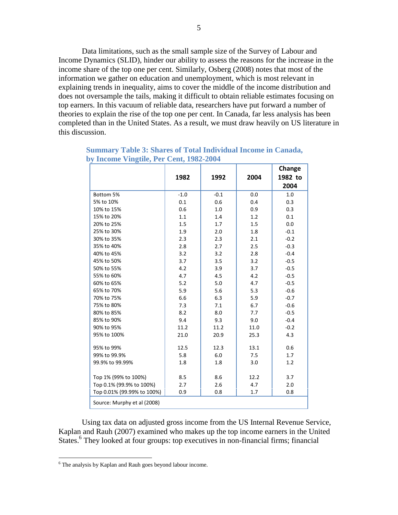Data limitations, such as the small sample size of the Survey of Labour and Income Dynamics (SLID), hinder our ability to assess the reasons for the increase in the income share of the top one per cent. Similarly, Osberg (2008) notes that most of the information we gather on education and unemployment, which is most relevant in explaining trends in inequality, aims to cover the middle of the income distribution and does not oversample the tails, making it difficult to obtain reliable estimates focusing on top earners. In this vacuum of reliable data, researchers have put forward a number of theories to explain the rise of the top one per cent. In Canada, far less analysis has been completed than in the United States. As a result, we must draw heavily on US literature in this discussion.

|                             | 1982   | 1992   | 2004 | cnange<br>1982 to<br>2004 |  |
|-----------------------------|--------|--------|------|---------------------------|--|
| Bottom 5%                   | $-1.0$ | $-0.1$ | 0.0  | 1.0                       |  |
| 5% to 10%                   | 0.1    | 0.6    | 0.4  | 0.3                       |  |
| 10% to 15%                  | 0.6    | 1.0    | 0.9  | 0.3                       |  |
| 15% to 20%                  | 1.1    | 1.4    | 1.2  | 0.1                       |  |
| 20% to 25%                  | 1.5    | 1.7    | 1.5  | 0.0                       |  |
| 25% to 30%                  | 1.9    | 2.0    | 1.8  | $-0.1$                    |  |
| 30% to 35%                  | 2.3    | 2.3    | 2.1  | $-0.2$                    |  |
| 35% to 40%                  | 2.8    | 2.7    | 2.5  | $-0.3$                    |  |
| 40% to 45%                  | 3.2    | 3.2    | 2.8  | $-0.4$                    |  |
| 45% to 50%                  | 3.7    | 3.5    | 3.2  | $-0.5$                    |  |
| 50% to 55%                  | 4.2    | 3.9    | 3.7  | $-0.5$                    |  |
| 55% to 60%                  | 4.7    | 4.5    | 4.2  | $-0.5$                    |  |
| 60% to 65%                  | 5.2    | 5.0    | 4.7  | $-0.5$                    |  |
| 65% to 70%                  | 5.9    | 5.6    | 5.3  | $-0.6$                    |  |
| 70% to 75%                  | 6.6    | 6.3    | 5.9  | $-0.7$                    |  |
| 75% to 80%                  | 7.3    | 7.1    | 6.7  | $-0.6$                    |  |
| 80% to 85%                  | 8.2    | 8.0    | 7.7  | $-0.5$                    |  |
| 85% to 90%                  | 9.4    | 9.3    | 9.0  | $-0.4$                    |  |
| 90% to 95%                  | 11.2   | 11.2   | 11.0 | $-0.2$                    |  |
| 95% to 100%                 | 21.0   | 20.9   | 25.3 | 4.3                       |  |
| 95% to 99%                  | 12.5   | 12.3   | 13.1 | 0.6                       |  |
| 99% to 99.9%                | 5.8    | 6.0    | 7.5  | 1.7                       |  |
| 99.9% to 99.99%             | 1.8    | 1.8    | 3.0  | 1.2                       |  |
| Top 1% (99% to 100%)        | 8.5    | 8.6    | 12.2 | 3.7                       |  |
| Top 0.1% (99.9% to 100%)    | 2.7    | 2.6    | 4.7  | 2.0                       |  |
| Top 0.01% (99.99% to 100%)  | 0.9    | 0.8    | 1.7  | 0.8                       |  |
| Source: Murphy et al (2008) |        |        |      |                           |  |

<span id="page-5-0"></span>**Summary Table 3: Shares of Total Individual Income in Canada, by Income Vingtile, Per Cent, 1982-2004 Change** 

Using tax data on adjusted gross income from the US Internal Revenue Service, Kaplan and Rauh (2007) examined who makes up the top income earners in the United States.<sup>6</sup> They looked at four groups: top executives in non-financial firms; financial

<sup>&</sup>lt;sup>6</sup> The analysis by Kaplan and Rauh goes beyond labour income.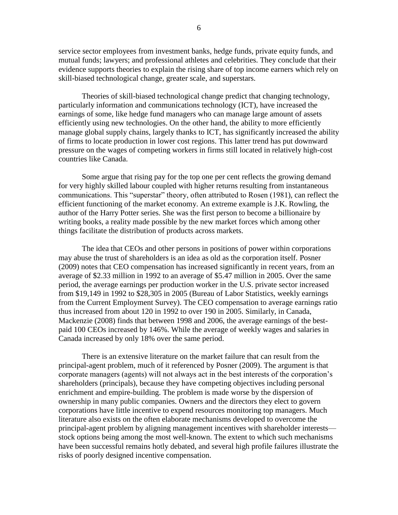service sector employees from investment banks, hedge funds, private equity funds, and mutual funds; lawyers; and professional athletes and celebrities. They conclude that their evidence supports theories to explain the rising share of top income earners which rely on skill-biased technological change, greater scale, and superstars.

Theories of skill-biased technological change predict that changing technology, particularly information and communications technology (ICT), have increased the earnings of some, like hedge fund managers who can manage large amount of assets efficiently using new technologies. On the other hand, the ability to more efficiently manage global supply chains, largely thanks to ICT, has significantly increased the ability of firms to locate production in lower cost regions. This latter trend has put downward pressure on the wages of competing workers in firms still located in relatively high-cost countries like Canada.

Some argue that rising pay for the top one per cent reflects the growing demand for very highly skilled labour coupled with higher returns resulting from instantaneous communications. This "superstar" theory, often attributed to Rosen (1981), can reflect the efficient functioning of the market economy. An extreme example is J.K. Rowling, the author of the Harry Potter series. She was the first person to become a billionaire by writing books, a reality made possible by the new market forces which among other things facilitate the distribution of products across markets.

The idea that CEOs and other persons in positions of power within corporations may abuse the trust of shareholders is an idea as old as the corporation itself. Posner (2009) notes that CEO compensation has increased significantly in recent years, from an average of \$2.33 million in 1992 to an average of \$5.47 million in 2005. Over the same period, the average earnings per production worker in the U.S. private sector increased from \$19,149 in 1992 to \$28,305 in 2005 (Bureau of Labor Statistics, weekly earnings from the Current Employment Survey). The CEO compensation to average earnings ratio thus increased from about 120 in 1992 to over 190 in 2005. Similarly, in Canada, Mackenzie (2008) finds that between 1998 and 2006, the average earnings of the bestpaid 100 CEOs increased by 146%. While the average of weekly wages and salaries in Canada increased by only 18% over the same period.

There is an extensive literature on the market failure that can result from the principal-agent problem, much of it referenced by Posner (2009). The argument is that corporate managers (agents) will not always act in the best interests of the corporation's shareholders (principals), because they have competing objectives including personal enrichment and empire-building. The problem is made worse by the dispersion of ownership in many public companies. Owners and the directors they elect to govern corporations have little incentive to expend resources monitoring top managers. Much literature also exists on the often elaborate mechanisms developed to overcome the principal-agent problem by aligning management incentives with shareholder interests stock options being among the most well-known. The extent to which such mechanisms have been successful remains hotly debated, and several high profile failures illustrate the risks of poorly designed incentive compensation.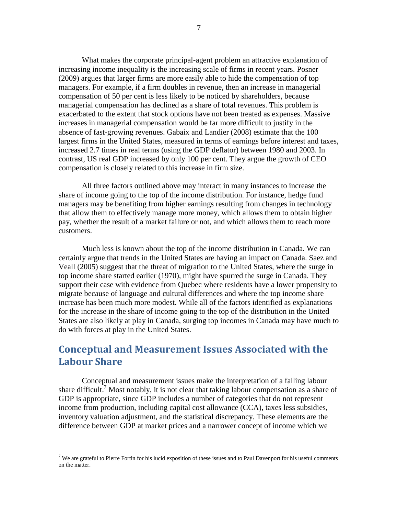What makes the corporate principal-agent problem an attractive explanation of increasing income inequality is the increasing scale of firms in recent years. Posner (2009) argues that larger firms are more easily able to hide the compensation of top managers. For example, if a firm doubles in revenue, then an increase in managerial compensation of 50 per cent is less likely to be noticed by shareholders, because managerial compensation has declined as a share of total revenues. This problem is exacerbated to the extent that stock options have not been treated as expenses. Massive increases in managerial compensation would be far more difficult to justify in the absence of fast-growing revenues. Gabaix and Landier (2008) estimate that the 100 largest firms in the United States, measured in terms of earnings before interest and taxes, increased 2.7 times in real terms (using the GDP deflator) between 1980 and 2003. In contrast, US real GDP increased by only 100 per cent. They argue the growth of CEO compensation is closely related to this increase in firm size.

All three factors outlined above may interact in many instances to increase the share of income going to the top of the income distribution. For instance, hedge fund managers may be benefiting from higher earnings resulting from changes in technology that allow them to effectively manage more money, which allows them to obtain higher pay, whether the result of a market failure or not, and which allows them to reach more customers.

Much less is known about the top of the income distribution in Canada. We can certainly argue that trends in the United States are having an impact on Canada. Saez and Veall (2005) suggest that the threat of migration to the United States, where the surge in top income share started earlier (1970), might have spurred the surge in Canada. They support their case with evidence from Quebec where residents have a lower propensity to migrate because of language and cultural differences and where the top income share increase has been much more modest. While all of the factors identified as explanations for the increase in the share of income going to the top of the distribution in the United States are also likely at play in Canada, surging top incomes in Canada may have much to do with forces at play in the United States.

### **Conceptual and Measurement Issues Associated with the Labour Share**

Conceptual and measurement issues make the interpretation of a falling labour share difficult.<sup>7</sup> Most notably, it is not clear that taking labour compensation as a share of GDP is appropriate, since GDP includes a number of categories that do not represent income from production, including capital cost allowance (CCA), taxes less subsidies, inventory valuation adjustment, and the statistical discrepancy. These elements are the difference between GDP at market prices and a narrower concept of income which we

 $<sup>7</sup>$  We are grateful to Pierre Fortin for his lucid exposition of these issues and to Paul Davenport for his useful comments</sup> on the matter.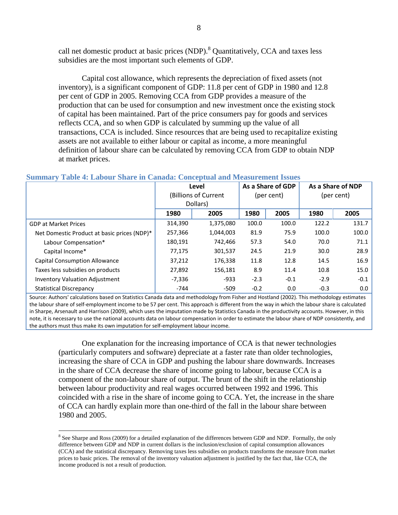call net domestic product at basic prices (NDP).<sup>8</sup> Quantitatively, CCA and taxes less subsidies are the most important such elements of GDP.

Capital cost allowance, which represents the depreciation of fixed assets (not inventory), is a significant component of GDP: 11.8 per cent of GDP in 1980 and 12.8 per cent of GDP in 2005. Removing CCA from GDP provides a measure of the production that can be used for consumption and new investment once the existing stock of capital has been maintained. Part of the price consumers pay for goods and services reflects CCA, and so when GDP is calculated by summing up the value of all transactions, CCA is included. Since resources that are being used to recapitalize existing assets are not available to either labour or capital as income, a more meaningful definition of labour share can be calculated by removing CCA from GDP to obtain NDP at market prices.

|                                             | Level<br>(Billions of Current<br>Dollars) |           | As a Share of GDP<br>(per cent) |        | As a Share of NDP<br>(per cent) |        |
|---------------------------------------------|-------------------------------------------|-----------|---------------------------------|--------|---------------------------------|--------|
|                                             | 1980                                      | 2005      | 1980                            | 2005   | 1980                            | 2005   |
| <b>GDP at Market Prices</b>                 | 314,390                                   | 1,375,080 | 100.0                           | 100.0  | 122.2                           | 131.7  |
| Net Domestic Product at basic prices (NDP)* | 257,366                                   | 1,044,003 | 81.9                            | 75.9   | 100.0                           | 100.0  |
| Labour Compensation*                        | 180,191                                   | 742,466   | 57.3                            | 54.0   | 70.0                            | 71.1   |
| Capital Income*                             | 77,175                                    | 301,537   | 24.5                            | 21.9   | 30.0                            | 28.9   |
| <b>Capital Consumption Allowance</b>        | 37,212                                    | 176,338   | 11.8                            | 12.8   | 14.5                            | 16.9   |
| Taxes less subsidies on products            | 27,892                                    | 156,181   | 8.9                             | 11.4   | 10.8                            | 15.0   |
| <b>Inventory Valuation Adjustment</b>       | $-7,336$                                  | $-933$    | $-2.3$                          | $-0.1$ | $-2.9$                          | $-0.1$ |
| <b>Statistical Discrepancy</b>              | $-744$                                    | $-509$    | $-0.2$                          | 0.0    | $-0.3$                          | 0.0    |

#### <span id="page-8-0"></span>**Summary Table 4: Labour Share in Canada: Conceptual and Measurement Issues**

Source: Authors' calculations based on Statistics Canada data and methodology from Fisher and Hostland (2002). This methodology estimates the labour share of self-employment income to be 57 per cent. This approach is different from the way in which the labour share is calculated in Sharpe, Arsenault and Harrison (2009), which uses the imputation made by Statistics Canada in the productivity accounts. However, in this note, it is necessary to use the national accounts data on labour compensation in order to estimate the labour share of NDP consistently, and the authors must thus make its own imputation for self-employment labour income.

One explanation for the increasing importance of CCA is that newer technologies (particularly computers and software) depreciate at a faster rate than older technologies, increasing the share of CCA in GDP and pushing the labour share downwards. Increases in the share of CCA decrease the share of income going to labour, because CCA is a component of the non-labour share of output. The brunt of the shift in the relationship between labour productivity and real wages occurred between 1992 and 1996. This coincided with a rise in the share of income going to CCA. Yet, the increase in the share of CCA can hardly explain more than one-third of the fall in the labour share between 1980 and 2005.

<sup>&</sup>lt;sup>8</sup> See Sharpe and Ross (2009) for a detailed explanation of the differences between GDP and NDP. Formally, the only difference between GDP and NDP in current dollars is the inclusion/exclusion of capital consumption allowances (CCA) and the statistical discrepancy. Removing taxes less subsidies on products transforms the measure from market prices to basic prices. The removal of the inventory valuation adjustment is justified by the fact that, like CCA, the income produced is not a result of production.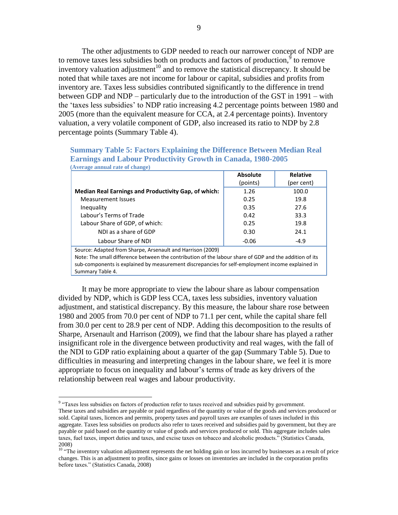The other adjustments to GDP needed to reach our narrower concept of NDP are to remove taxes less subsidies both on products and factors of production,  $\int$  to remove inventory valuation adjustment<sup>10</sup> and to remove the statistical discrepancy. It should be noted that while taxes are not income for labour or capital, subsidies and profits from inventory are. Taxes less subsidies contributed significantly to the difference in trend between GDP and NDP – particularly due to the introduction of the GST in 1991 – with the 'taxes less subsidies' to NDP ratio increasing 4.2 percentage points between 1980 and 2005 (more than the equivalent measure for CCA, at 2.4 percentage points). Inventory valuation, a very volatile component of GDP, also increased its ratio to NDP by 2.8 percentage points [\(Summary Table 4\)](#page-8-0).

<span id="page-9-0"></span>

| <b>Summary Table 5: Factors Explaining the Difference Between Median Real</b> |
|-------------------------------------------------------------------------------|
| <b>Earnings and Labour Productivity Growth in Canada, 1980-2005</b>           |
| (Average annual rate of change)                                               |

|                                                                                                                                                                                                            | <b>Absolute</b> | <b>Relative</b> |  |  |  |  |
|------------------------------------------------------------------------------------------------------------------------------------------------------------------------------------------------------------|-----------------|-----------------|--|--|--|--|
|                                                                                                                                                                                                            | (points)        | (per cent)      |  |  |  |  |
| <b>Median Real Earnings and Productivity Gap, of which:</b>                                                                                                                                                | 1.26            | 100.0           |  |  |  |  |
| <b>Measurement Issues</b>                                                                                                                                                                                  | 0.25            | 19.8            |  |  |  |  |
| Inequality                                                                                                                                                                                                 | 0.35            | 27.6            |  |  |  |  |
| Labour's Terms of Trade                                                                                                                                                                                    | 0.42            | 33.3            |  |  |  |  |
| Labour Share of GDP, of which:                                                                                                                                                                             | 0.25            | 19.8            |  |  |  |  |
| NDI as a share of GDP                                                                                                                                                                                      | 0.30            | 24.1            |  |  |  |  |
| Labour Share of NDI                                                                                                                                                                                        | $-0.06$         | $-4.9$          |  |  |  |  |
| Source: Adapted from Sharpe, Arsenault and Harrison (2009)                                                                                                                                                 |                 |                 |  |  |  |  |
| Note: The small difference between the contribution of the labour share of GDP and the addition of its<br>sub-components is explained by measurement discrepancies for self-employment income explained in |                 |                 |  |  |  |  |

It may be more appropriate to view the labour share as labour compensation divided by NDP, which is GDP less CCA, taxes less subsidies, inventory valuation adjustment, and statistical discrepancy. By this measure, the labour share rose between 1980 and 2005 from 70.0 per cent of NDP to 71.1 per cent, while the capital share fell from 30.0 per cent to 28.9 per cent of NDP. Adding this decomposition to the results of Sharpe, Arsenault and Harrison (2009), we find that the labour share has played a rather insignificant role in the divergence between productivity and real wages, with the fall of the NDI to GDP ratio explaining about a quarter of the gap [\(Summary Table 5\)](#page-9-0). Due to difficulties in measuring and interpreting changes in the labour share, we feel it is more appropriate to focus on inequality and labour's terms of trade as key drivers of the relationship between real wages and labour productivity.

Summary Table 4.

<sup>&</sup>lt;sup>9</sup> "Taxes less subsidies on factors of production refer to taxes received and subsidies paid by government. These taxes and subsidies are payable or paid regardless of the quantity or value of the goods and services produced or sold. Capital taxes, licences and permits, property taxes and payroll taxes are examples of taxes included in this aggregate. Taxes less subsidies on products also refer to taxes received and subsidies paid by government, but they are payable or paid based on the quantity or value of goods and services produced or sold. This aggregate includes sales taxes, fuel taxes, import duties and taxes, and excise taxes on tobacco and alcoholic products.‖ (Statistics Canada, 2008)

<sup>&</sup>lt;sup>10</sup> "The inventory valuation adjustment represents the net holding gain or loss incurred by businesses as a result of price changes. This is an adjustment to profits, since gains or losses on inventories are included in the corporation profits before taxes." (Statistics Canada, 2008)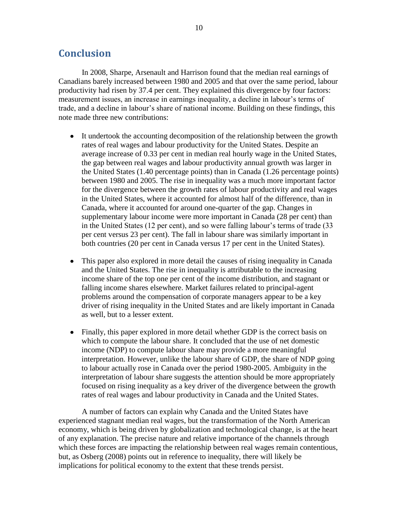#### **Conclusion**

In 2008, Sharpe, Arsenault and Harrison found that the median real earnings of Canadians barely increased between 1980 and 2005 and that over the same period, labour productivity had risen by 37.4 per cent. They explained this divergence by four factors: measurement issues, an increase in earnings inequality, a decline in labour's terms of trade, and a decline in labour's share of national income. Building on these findings, this note made three new contributions:

- It undertook the accounting decomposition of the relationship between the growth rates of real wages and labour productivity for the United States. Despite an average increase of 0.33 per cent in median real hourly wage in the United States, the gap between real wages and labour productivity annual growth was larger in the United States (1.40 percentage points) than in Canada (1.26 percentage points) between 1980 and 2005. The rise in inequality was a much more important factor for the divergence between the growth rates of labour productivity and real wages in the United States, where it accounted for almost half of the difference, than in Canada, where it accounted for around one-quarter of the gap. Changes in supplementary labour income were more important in Canada (28 per cent) than in the United States (12 per cent), and so were falling labour's terms of trade (33 per cent versus 23 per cent). The fall in labour share was similarly important in both countries (20 per cent in Canada versus 17 per cent in the United States).
- This paper also explored in more detail the causes of rising inequality in Canada and the United States. The rise in inequality is attributable to the increasing income share of the top one per cent of the income distribution, and stagnant or falling income shares elsewhere. Market failures related to principal-agent problems around the compensation of corporate managers appear to be a key driver of rising inequality in the United States and are likely important in Canada as well, but to a lesser extent.
- Finally, this paper explored in more detail whether GDP is the correct basis on which to compute the labour share. It concluded that the use of net domestic income (NDP) to compute labour share may provide a more meaningful interpretation. However, unlike the labour share of GDP, the share of NDP going to labour actually rose in Canada over the period 1980-2005. Ambiguity in the interpretation of labour share suggests the attention should be more appropriately focused on rising inequality as a key driver of the divergence between the growth rates of real wages and labour productivity in Canada and the United States.

A number of factors can explain why Canada and the United States have experienced stagnant median real wages, but the transformation of the North American economy, which is being driven by globalization and technological change, is at the heart of any explanation. The precise nature and relative importance of the channels through which these forces are impacting the relationship between real wages remain contentious, but, as Osberg (2008) points out in reference to inequality, there will likely be implications for political economy to the extent that these trends persist.